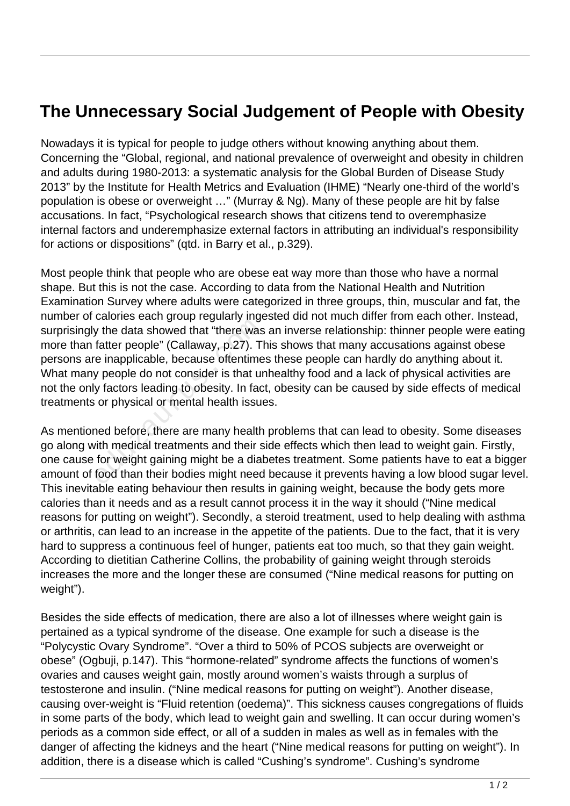## **The Unnecessary Social Judgement of People with Obesity**

Nowadays it is typical for people to judge others without knowing anything about them. Concerning the "Global, regional, and national prevalence of overweight and obesity in children and adults during 1980-2013: a systematic analysis for the Global Burden of Disease Study 2013" by the Institute for Health Metrics and Evaluation (IHME) "Nearly one-third of the world's population is obese or overweight …" (Murray & Ng). Many of these people are hit by false accusations. In fact, "Psychological research shows that citizens tend to overemphasize internal factors and underemphasize external factors in attributing an individual's responsibility for actions or dispositions" (qtd. in Barry et al., p.329).

Most people think that people who are obese eat way more than those who have a normal shape. But this is not the case. According to data from the National Health and Nutrition Examination Survey where adults were categorized in three groups, thin, muscular and fat, the number of calories each group regularly ingested did not much differ from each other. Instead, surprisingly the data showed that "there was an inverse relationship: thinner people were eating more than fatter people" (Callaway, p.27). This shows that many accusations against obese persons are inapplicable, because oftentimes these people can hardly do anything about it. What many people do not consider is that unhealthy food and a lack of physical activities are not the only factors leading to obesity. In fact, obesity can be caused by side effects of medical treatments or physical or mental health issues. y the data showed that "there was<br>fatter people" (Callaway, p.27). The inapplicable, because oftentime<br>y people do not consider is that ur<br>y factors leading to obesity. In factor or physical or mental health issue<br>and befo

As mentioned before, there are many health problems that can lead to obesity. Some diseases go along with medical treatments and their side effects which then lead to weight gain. Firstly, one cause for weight gaining might be a diabetes treatment. Some patients have to eat a bigger amount of food than their bodies might need because it prevents having a low blood sugar level. This inevitable eating behaviour then results in gaining weight, because the body gets more calories than it needs and as a result cannot process it in the way it should ("Nine medical reasons for putting on weight"). Secondly, a steroid treatment, used to help dealing with asthma or arthritis, can lead to an increase in the appetite of the patients. Due to the fact, that it is very hard to suppress a continuous feel of hunger, patients eat too much, so that they gain weight. According to dietitian Catherine Collins, the probability of gaining weight through steroids increases the more and the longer these are consumed ("Nine medical reasons for putting on weight").

Besides the side effects of medication, there are also a lot of illnesses where weight gain is pertained as a typical syndrome of the disease. One example for such a disease is the "Polycystic Ovary Syndrome". "Over a third to 50% of PCOS subjects are overweight or obese" (Ogbuji, p.147). This "hormone-related" syndrome affects the functions of women's ovaries and causes weight gain, mostly around women's waists through a surplus of testosterone and insulin. ("Nine medical reasons for putting on weight"). Another disease, causing over-weight is "Fluid retention (oedema)". This sickness causes congregations of fluids in some parts of the body, which lead to weight gain and swelling. It can occur during women's periods as a common side effect, or all of a sudden in males as well as in females with the danger of affecting the kidneys and the heart ("Nine medical reasons for putting on weight"). In addition, there is a disease which is called "Cushing's syndrome". Cushing's syndrome